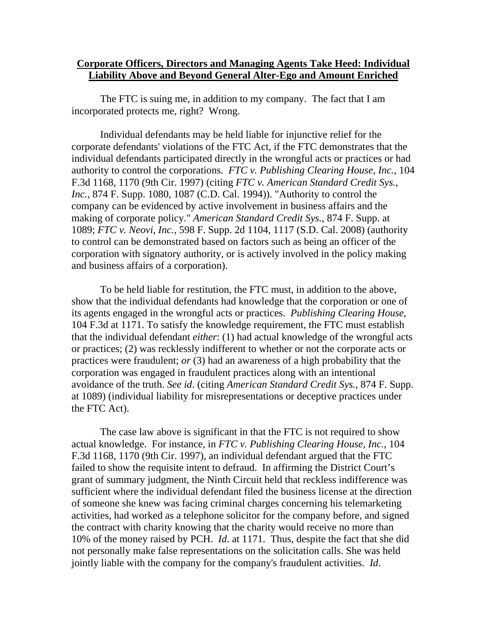## **Corporate Officers, Directors and Managing Agents Take Heed: Individual Liability Above and Beyond General Alter-Ego and Amount Enriched**

The FTC is suing me, in addition to my company. The fact that I am incorporated protects me, right? Wrong.

Individual defendants may be held liable for injunctive relief for the corporate defendants' violations of the FTC Act, if the FTC demonstrates that the individual defendants participated directly in the wrongful acts or practices or had authority to control the corporations. *FTC v. Publishing Clearing House, Inc.*, 104 F.3d 1168, 1170 (9th Cir. 1997) (citing *FTC v. American Standard Credit Sys., Inc.*, 874 F. Supp. 1080, 1087 (C.D. Cal. 1994)). "Authority to control the company can be evidenced by active involvement in business affairs and the making of corporate policy." *American Standard Credit Sys.*, 874 F. Supp. at 1089; *FTC v. Neovi, Inc.*, 598 F. Supp. 2d 1104, 1117 (S.D. Cal. 2008) (authority to control can be demonstrated based on factors such as being an officer of the corporation with signatory authority, or is actively involved in the policy making and business affairs of a corporation).

To be held liable for restitution, the FTC must, in addition to the above, show that the individual defendants had knowledge that the corporation or one of its agents engaged in the wrongful acts or practices. *Publishing Clearing House*, 104 F.3d at 1171. To satisfy the knowledge requirement, the FTC must establish that the individual defendant *either*: (1) had actual knowledge of the wrongful acts or practices; (2) was recklessly indifferent to whether or not the corporate acts or practices were fraudulent; *or* (3) had an awareness of a high probability that the corporation was engaged in fraudulent practices along with an intentional avoidance of the truth. *See id*. (citing *American Standard Credit Sys.*, 874 F. Supp. at 1089) (individual liability for misrepresentations or deceptive practices under the FTC Act).

The case law above is significant in that the FTC is not required to show actual knowledge. For instance, in *FTC v. Publishing Clearing House, Inc.*, 104 F.3d 1168, 1170 (9th Cir. 1997), an individual defendant argued that the FTC failed to show the requisite intent to defraud. In affirming the District Court's grant of summary judgment, the Ninth Circuit held that reckless indifference was sufficient where the individual defendant filed the business license at the direction of someone she knew was facing criminal charges concerning his telemarketing activities, had worked as a telephone solicitor for the company before, and signed the contract with charity knowing that the charity would receive no more than 10% of the money raised by PCH. *Id*. at 1171. Thus, despite the fact that she did not personally make false representations on the solicitation calls. She was held jointly liable with the company for the company's fraudulent activities. *Id*.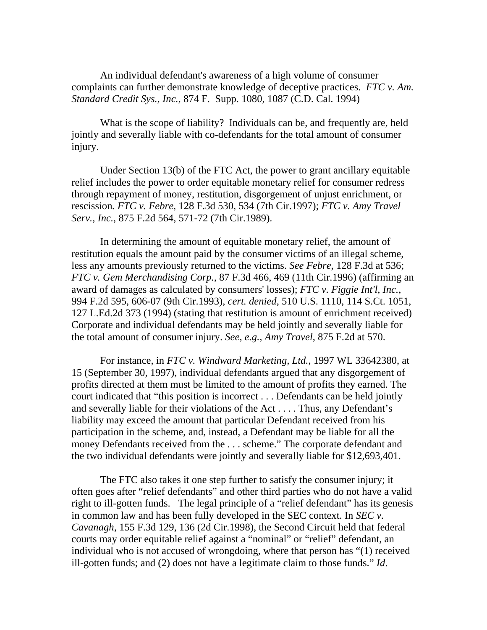An individual defendant's awareness of a high volume of consumer complaints can further demonstrate knowledge of deceptive practices. *FTC v. Am. Standard Credit Sys., Inc.*, 874 F. Supp. 1080, 1087 (C.D. Cal. 1994)

What is the scope of liability? Individuals can be, and frequently are, held jointly and severally liable with co-defendants for the total amount of consumer injury.

Under Section 13(b) of the FTC Act, the power to grant ancillary equitable relief includes the power to order equitable monetary relief for consumer redress through repayment of money, restitution, disgorgement of unjust enrichment, or rescission*. FTC v. Febre*, 128 F.3d 530, 534 (7th Cir.1997); *FTC v. Amy Travel Serv., Inc.*, 875 F.2d 564, 571-72 (7th Cir.1989).

In determining the amount of equitable monetary relief, the amount of restitution equals the amount paid by the consumer victims of an illegal scheme, less any amounts previously returned to the victims. *See Febre*, 128 F.3d at 536; *FTC v. Gem Merchandising Corp.*, 87 F.3d 466, 469 (11th Cir.1996) (affirming an award of damages as calculated by consumers' losses); *FTC v. Figgie Int'l, Inc.*, 994 F.2d 595, 606-07 (9th Cir.1993), *cert. denied*, 510 U.S. 1110, 114 S.Ct. 1051, 127 L.Ed.2d 373 (1994) (stating that restitution is amount of enrichment received) Corporate and individual defendants may be held jointly and severally liable for the total amount of consumer injury. *See, e.g., Amy Travel*, 875 F.2d at 570.

For instance, in *FTC v. Windward Marketing, Ltd.*, 1997 WL 33642380, at 15 (September 30, 1997), individual defendants argued that any disgorgement of profits directed at them must be limited to the amount of profits they earned. The court indicated that "this position is incorrect . . . Defendants can be held jointly and severally liable for their violations of the Act . . . . Thus, any Defendant's liability may exceed the amount that particular Defendant received from his participation in the scheme, and, instead, a Defendant may be liable for all the money Defendants received from the . . . scheme." The corporate defendant and the two individual defendants were jointly and severally liable for \$12,693,401.

The FTC also takes it one step further to satisfy the consumer injury; it often goes after "relief defendants" and other third parties who do not have a valid right to ill-gotten funds. The legal principle of a "relief defendant" has its genesis in common law and has been fully developed in the SEC context. In *SEC v. Cavanagh*, 155 F.3d 129, 136 (2d Cir.1998), the Second Circuit held that federal courts may order equitable relief against a "nominal" or "relief" defendant, an individual who is not accused of wrongdoing, where that person has "(1) received ill-gotten funds; and (2) does not have a legitimate claim to those funds." *Id*.